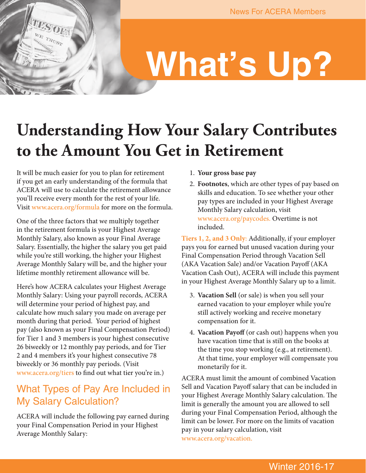# **What's Up?**

## **Understanding How Your Salary Contributes to the Amount You Get in Retirement**

It will be much easier for you to plan for retirement if you get an early understanding of the formula that ACERA will use to calculate the retirement allowance you'll receive every month for the rest of your life. Visit <www.acera.org/formula>for more on the formula.

One of the three factors that we multiply together in the retirement formula is your Highest Average Monthly Salary, also known as your Final Average Salary. Essentially, the higher the salary you get paid while you're still working, the higher your Highest Average Monthly Salary will be, and the higher your lifetime monthly retirement allowance will be.

Here's how ACERA calculates your Highest Average Monthly Salary: Using your payroll records, ACERA will determine your period of highest pay, and calculate how much salary you made on average per month during that period. Your period of highest pay (also known as your Final Compensation Period) for Tier 1 and 3 members is your highest consecutive 26 biweekly or 12 monthly pay periods, and for Tier 2 and 4 members it's your highest consecutive 78 biweekly or 36 monthly pay periods. (Visit <www.acera.org/tiers>to find out what tier you're in.)

## What Types of Pay Are Included in My Salary Calculation?

ACERA will include the following pay earned during your Final Compensation Period in your Highest Average Monthly Salary:

- 1. **Your gross base pay**
- 2. **Footnotes**, which are other types of pay based on skills and education. To see whether your other pay types are included in your Highest Average Monthly Salary calculation, visit <www.acera.org/paycodes>. Overtime is not included.

**Tiers 1, 2, and 3 Only**: Additionally, if your employer pays you for earned but unused vacation during your Final Compensation Period through Vacation Sell (AKA Vacation Sale) and/or Vacation Payoff (AKA Vacation Cash Out), ACERA will include this payment in your Highest Average Monthly Salary up to a limit.

- 3. **Vacation Sell** (or sale) is when you sell your earned vacation to your employer while you're still actively working and receive monetary compensation for it.
- 4. **Vacation Payoff** (or cash out) happens when you have vacation time that is still on the books at the time you stop working (e.g., at retirement). At that time, your employer will compensate you monetarily for it.

ACERA must limit the amount of combined Vacation Sell and Vacation Payoff salary that can be included in your Highest Average Monthly Salary calculation. The limit is generally the amount you are allowed to sell during your Final Compensation Period, although the limit can be lower. For more on the limits of vacation pay in your salary calculation, visit [www.acera.org/vacation.](www.acera.org/vacation)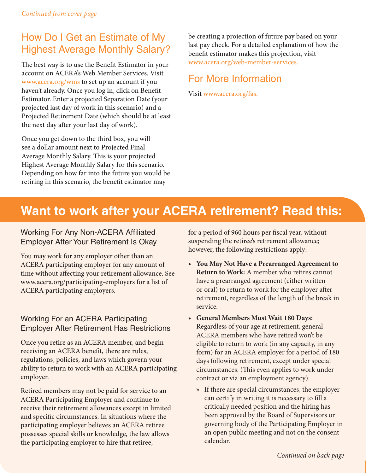## How Do I Get an Estimate of My Highest Average Monthly Salary?

The best way is to use the Benefit Estimator in your account on ACERA's Web Member Services. Visit <www.acera.org/wms>to set up an account if you haven't already. Once you log in, click on Benefit Estimator. Enter a projected Separation Date (your projected last day of work in this scenario) and a Projected Retirement Date (which should be at least the next day after your last day of work).

Once you get down to the third box, you will see a dollar amount next to Projected Final Average Monthly Salary. This is your projected Highest Average Monthly Salary for this scenario. Depending on how far into the future you would be retiring in this scenario, the benefit estimator may

be creating a projection of future pay based on your last pay check. For a detailed explanation of how the benefit estimator makes this projection, visit <www.acera.org/web-member-services>.

### For More Information

Visit [www.acera.org/fas.](www.acera.org/fas)

## **Want to work after your ACERA retirement? Read this:**

#### Working For Any Non-ACERA Affiliated Employer After Your Retirement Is Okay

You may work for any employer other than an ACERA participating employer for any amount of time without affecting your retirement allowance. See www.acera.org/participating-employers for a list of ACERA participating employers.

#### Working For an ACERA Participating Employer After Retirement Has Restrictions

Once you retire as an ACERA member, and begin receiving an ACERA benefit, there are rules, regulations, policies, and laws which govern your ability to return to work with an ACERA participating employer.

Retired members may not be paid for service to an ACERA Participating Employer and continue to receive their retirement allowances except in limited and specific circumstances. In situations where the participating employer believes an ACERA retiree possesses special skills or knowledge, the law allows the participating employer to hire that retiree,

for a period of 960 hours per fiscal year, without suspending the retiree's retirement allowance; however, the following restrictions apply:

- **• You May Not Have a Prearranged Agreement to Return to Work:** A member who retires cannot have a prearranged agreement (either written or oral) to return to work for the employer after retirement, regardless of the length of the break in service.
- **• General Members Must Wait 180 Days:** Regardless of your age at retirement, general ACERA members who have retired won't be eligible to return to work (in any capacity, in any form) for an ACERA employer for a period of 180 days following retirement, except under special circumstances. (This even applies to work under contract or via an employment agency).
	- » If there are special circumstances, the employer can certify in writing it is necessary to fill a critically needed position and the hiring has been approved by the Board of Supervisors or governing body of the Participating Employer in an open public meeting and not on the consent calendar.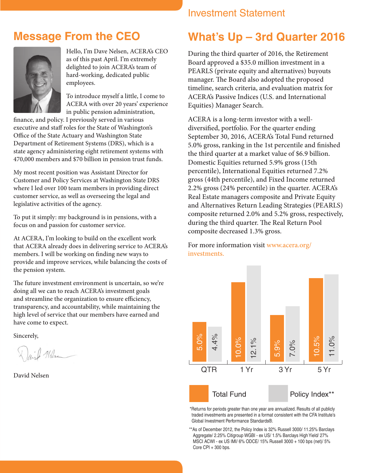## **Message From the CEO**



Hello, I'm Dave Nelsen, ACERA's CEO as of this past April. I'm extremely delighted to join ACERA's team of hard-working, dedicated public employees.

To introduce myself a little, I come to ACERA with over 20 years' experience in public pension administration,

finance, and policy. I previously served in various executive and staff roles for the State of Washington's Office of the State Actuary and Washington State Department of Retirement Systems (DRS), which is a state agency administering eight retirement systems with 470,000 members and \$70 billion in pension trust funds.

My most recent position was Assistant Director for Customer and Policy Services at Washington State DRS where I led over 100 team members in providing direct customer service, as well as overseeing the legal and legislative activities of the agency.

To put it simply: my background is in pensions, with a focus on and passion for customer service.

At ACERA, I'm looking to build on the excellent work that ACERA already does in delivering service to ACERA's members. I will be working on finding new ways to provide and improve services, while balancing the costs of the pension system.

The future investment environment is uncertain, so we're doing all we can to reach ACERA's investment goals and streamline the organization to ensure efficiency, transparency, and accountability, while maintaining the high level of service that our members have earned and have come to expect.

Sincerely,

Mlse

David Nelsen

#### Investment Statement

## **What's Up – 3rd Quarter 2016**

During the third quarter of 2016, the Retirement Board approved a \$35.0 million investment in a PEARLS (private equity and alternatives) buyouts manager. The Board also adopted the proposed timeline, search criteria, and evaluation matrix for ACERA's Passive Indices (U.S. and International Equities) Manager Search.

ACERA is a long-term investor with a welldiversified, portfolio. For the quarter ending September 30, 2016, ACERA's Total Fund returned 5.0% gross, ranking in the 1st percentile and finished the third quarter at a market value of \$6.9 billion. Domestic Equities returned 5.9% gross (15th percentile), International Equities returned 7.2% gross (44th percentile), and Fixed Income returned 2.2% gross (24% percentile) in the quarter. ACERA's Real Estate managers composite and Private Equity and Alternatives Return Leading Strategies (PEARLS) composite returned 2.0% and 5.2% gross, respectively, during the third quarter. The Real Return Pool composite decreased 1.3% gross.

For more information visit [www.acera.org/](www.acera.org/investments) [investments](www.acera.org/investments).



\*Returns for periods greater than one year are annualized. Results of all publicly traded investments are presented in a format consistent with the CFA Institute's Global Investment Performance Standards®.

\*\*As of December 2012, the Policy Index is 32% Russell 3000/ 11.25% Barclays Aggregate/ 2.25% Citigroup WGBI - ex US/ 1.5% Barclays High Yield/ 27% MSCI ACWI - ex US IMI/ 6% ODCE/ 15% Russell 3000 + 100 bps (net)/ 5% Core CPI + 300 bps.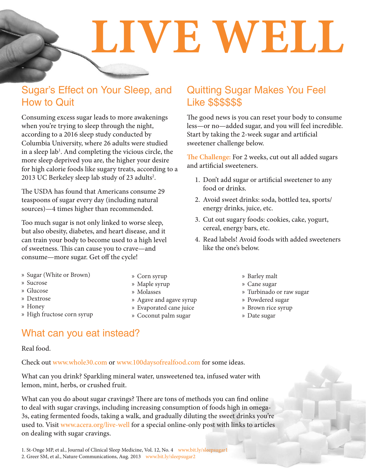**LIVE WELL**

## Sugar's Effect on Your Sleep, and How to Quit

Consuming excess sugar leads to more awakenings when you're trying to sleep through the night, according to a 2016 sleep study conducted by Columbia University, where 26 adults were studied in a sleep lab<sup>1</sup>. And completing the vicious circle, the more sleep deprived you are, the higher your desire for high calorie foods like sugary treats, according to a 2013 UC Berkeley sleep lab study of 23 adults<sup>2</sup>.

The USDA has found that Americans consume 29 teaspoons of sugar every day (including natural sources)—4 times higher than recommended.

Too much sugar is not only linked to worse sleep, but also obesity, diabetes, and heart disease, and it can train your body to become used to a high level of sweetness. This can cause you to crave—and consume—more sugar. Get off the cycle!

- » Sugar (White or Brown)
- » Sucrose
- » Glucose
- » Dextrose
- » Honey
- » High fructose corn syrup

#### » Corn syrup

- » Maple syrup
- » Molasses
- » Agave and agave syrup
- » Evaporated cane juice
- » Coconut palm sugar

#### Quitting Sugar Makes You Feel Like \$\$\$\$\$\$

The good news is you can reset your body to consume less—or no—added sugar, and you will feel incredible. Start by taking the 2-week sugar and artificial sweetener challenge below.

**The Challenge:** For 2 weeks, cut out all added sugars and artificial sweeteners.

- 1. Don't add sugar or artificial sweetener to any food or drinks.
- 2. Avoid sweet drinks: soda, bottled tea, sports/ energy drinks, juice, etc.
- 3. Cut out sugary foods: cookies, cake, yogurt, cereal, energy bars, etc.
- 4. Read labels! Avoid foods with added sweeteners like the one's below.
	- » Barley malt
	- » Cane sugar
	- » Turbinado or raw sugar
	- » Powdered sugar
	- » Brown rice syrup
	- » Date sugar

#### What can you eat instead?

#### Real food.

Check out<www.whole30.com> or<www.100daysofrealfood.com> for some ideas.

What can you drink? Sparkling mineral water, unsweetened tea, infused water with lemon, mint, herbs, or crushed fruit.

What can you do about sugar cravings? There are tons of methods you can find online to deal with sugar cravings, including increasing consumption of foods high in omega-3s, eating fermented foods, taking a walk, and gradually diluting the sweet drinks you're used to. Visit<www.acera.org/live-well> for a special online-only post with links to articles on dealing with sugar cravings.

1. St-Onge MP, et al., Journal of Clinical Sleep Medicine, Vol. 12, No. 4 <www.bit.ly/sleepsugar1> 2. Greer SM, et al., Nature Communications, Aug. 2013 <www.bit.ly/sleepsugar2>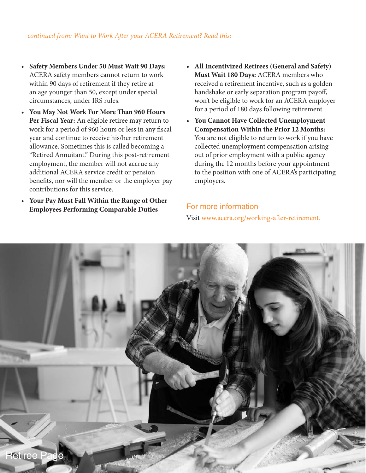- **Safety Members Under 50 Must Wait 90 Days:** ACERA safety members cannot return to work within 90 days of retirement if they retire at an age younger than 50, except under special circumstances, under IRS rules.
- **You May Not Work For More Than 960 Hours Per Fiscal Year:** An eligible retiree may return to work for a period of 960 hours or less in any fiscal year and continue to receive his/her retirement allowance. Sometimes this is called becoming a "Retired Annuitant." During this post-retirement employment, the member will not accrue any additional ACERA service credit or pension benefits, nor will the member or the employer pay contributions for this service.
- **Your Pay Must Fall Within the Range of Other Employees Performing Comparable Duties**
- **All Incentivized Retirees (General and Safety) Must Wait 180 Days:** ACERA members who received a retirement incentive, such as a golden handshake or early separation program payoff, won't be eligible to work for an ACERA employer for a period of 180 days following retirement.
- **You Cannot Have Collected Unemployment Compensation Within the Prior 12 Months:** You are not eligible to return to work if you have collected unemployment compensation arising out of prior employment with a public agency during the 12 months before your appointment to the position with one of ACERA's participating employers.

#### For more information

Visit [www.acera.org/working-after-retirement.](www.acera.org/working-after-retirement)